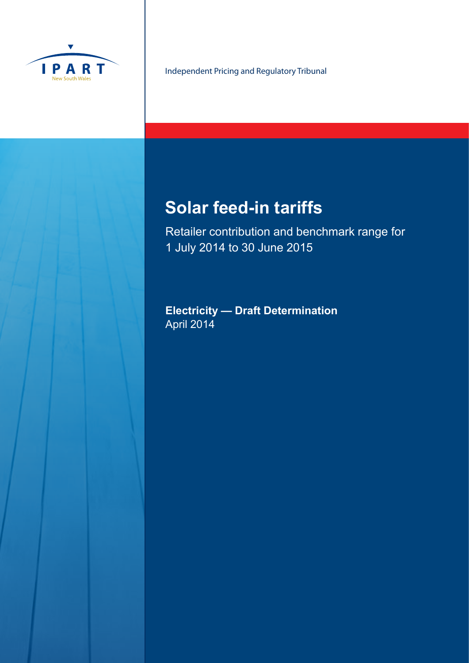

Independent Pricing and Regulatory Tribunal

# **Solar feed-in tariffs**

Retailer contribution and benchmark range for 1 July 2014 to 30 June 2015

**Electricity — Draft Determination**  April 2014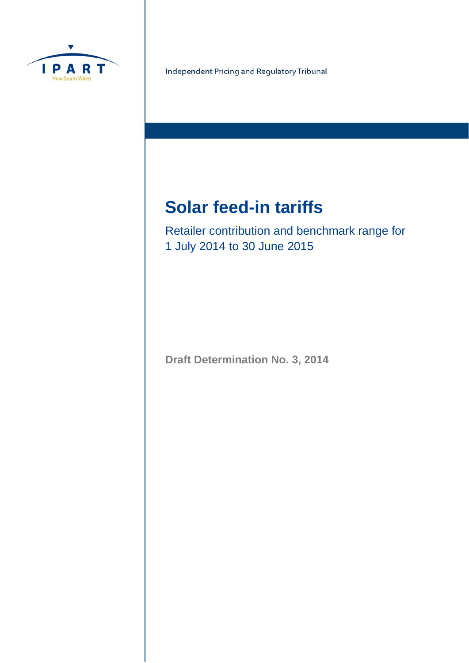

Independent Pricing and Regulatory Tribunal

# **Solar feed-in tariffs**

Retailer contribution and benchmark range for 1 July 2014 to 30 June 2015

**Draft Determination No. 3, 2014**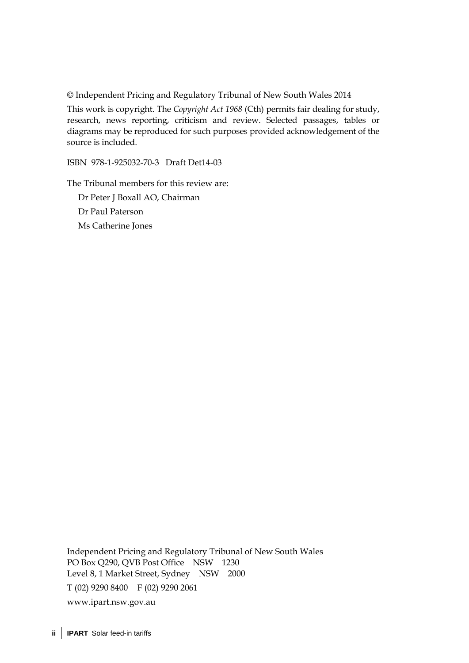© Independent Pricing and Regulatory Tribunal of New South Wales 2014

This work is copyright. The *Copyright Act 1968* (Cth) permits fair dealing for study, research, news reporting, criticism and review. Selected passages, tables or diagrams may be reproduced for such purposes provided acknowledgement of the source is included.

ISBN 978-1-925032-70-3 Draft Det14-03

The Tribunal members for this review are:

Dr Peter J Boxall AO, Chairman Dr Paul Paterson Ms Catherine Jones

Independent Pricing and Regulatory Tribunal of New South Wales PO Box Q290, QVB Post Office NSW 1230 Level 8, 1 Market Street, Sydney NSW 2000 T (02) 9290 8400 F (02) 9290 2061 www.ipart.nsw.gov.au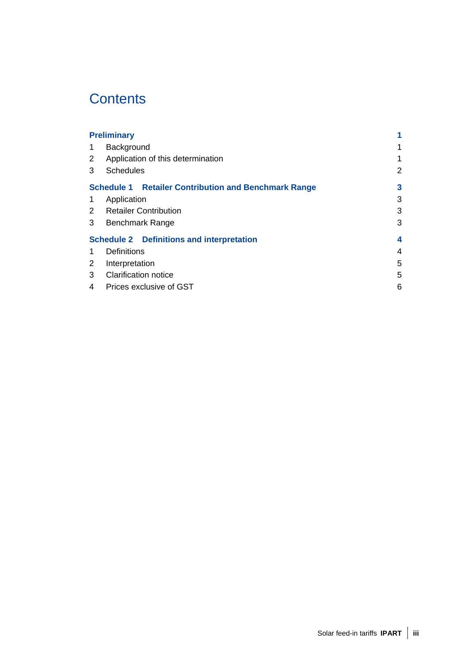# **Contents**

| <b>Preliminary</b>    |                                                             | 1              |
|-----------------------|-------------------------------------------------------------|----------------|
|                       | Background                                                  | 1              |
| $\mathbf{2}^{\prime}$ | Application of this determination                           | 1              |
| 3                     | <b>Schedules</b>                                            | $\overline{2}$ |
|                       | <b>Schedule 1 Retailer Contribution and Benchmark Range</b> | 3              |
| 1                     | Application                                                 | 3              |
| 2                     | <b>Retailer Contribution</b>                                | 3              |
| 3                     | <b>Benchmark Range</b>                                      | 3              |
|                       | <b>Schedule 2 Definitions and interpretation</b>            | 4              |
|                       | Definitions                                                 | 4              |
| 2                     | Interpretation                                              | 5              |
| 3                     | <b>Clarification notice</b>                                 | 5              |
| 4                     | Prices exclusive of GST                                     | 6              |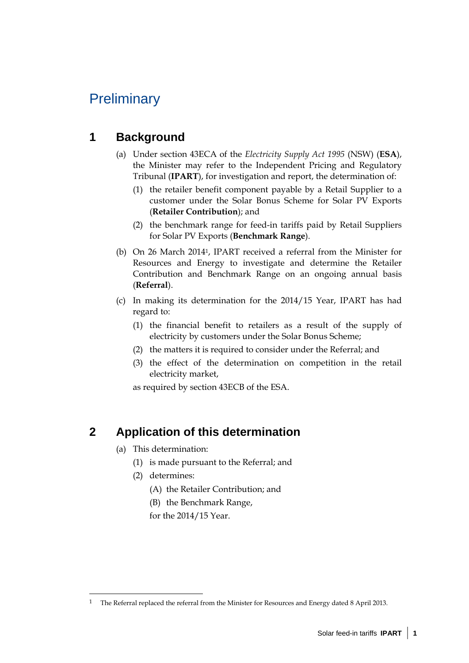# **Preliminary**

# **1 Background**

- (a) Under section 43ECA of the *Electricity Supply Act 1995* (NSW) (**ESA**), the Minister may refer to the Independent Pricing and Regulatory Tribunal (**IPART**), for investigation and report, the determination of:
	- (1) the retailer benefit component payable by a Retail Supplier to a customer under the Solar Bonus Scheme for Solar PV Exports (**Retailer Contribution**); and
	- (2) the benchmark range for feed-in tariffs paid by Retail Suppliers for Solar PV Exports (**Benchmark Range**).
- (b) On 26 March 20141, IPART received a referral from the Minister for Resources and Energy to investigate and determine the Retailer Contribution and Benchmark Range on an ongoing annual basis (**Referral**).
- (c) In making its determination for the 2014/15 Year, IPART has had regard to:
	- (1) the financial benefit to retailers as a result of the supply of electricity by customers under the Solar Bonus Scheme;
	- (2) the matters it is required to consider under the Referral; and
	- (3) the effect of the determination on competition in the retail electricity market,

as required by section 43ECB of the ESA.

### **2 Application of this determination**

- (a) This determination:
	- (1) is made pursuant to the Referral; and
	- (2) determines:

 $\overline{a}$ 

- (A) the Retailer Contribution; and
- (B) the Benchmark Range,

for the 2014/15 Year.

<sup>1</sup> The Referral replaced the referral from the Minister for Resources and Energy dated 8 April 2013.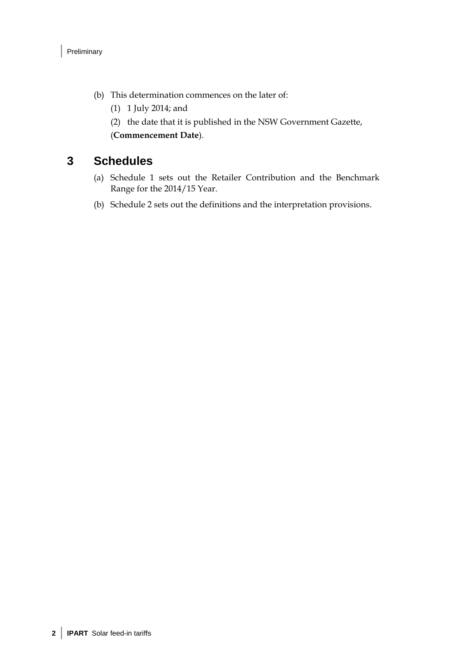- (b) This determination commences on the later of:
	- (1) 1 July 2014; and
	- (2) the date that it is published in the NSW Government Gazette,

(**Commencement Date**).

#### **3 Schedules**

- (a) Schedule 1 sets out the Retailer Contribution and the Benchmark Range for the 2014/15 Year.
- (b) Schedule 2 sets out the definitions and the interpretation provisions.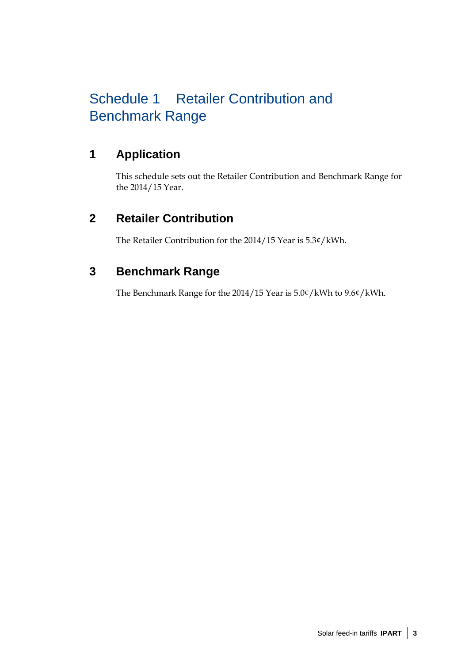# Schedule 1 Retailer Contribution and Benchmark Range

# **1 Application**

This schedule sets out the Retailer Contribution and Benchmark Range for the 2014/15 Year.

# **2 Retailer Contribution**

The Retailer Contribution for the 2014/15 Year is 5.3¢/kWh.

## **3 Benchmark Range**

The Benchmark Range for the 2014/15 Year is 5.0¢/kWh to 9.6¢/kWh.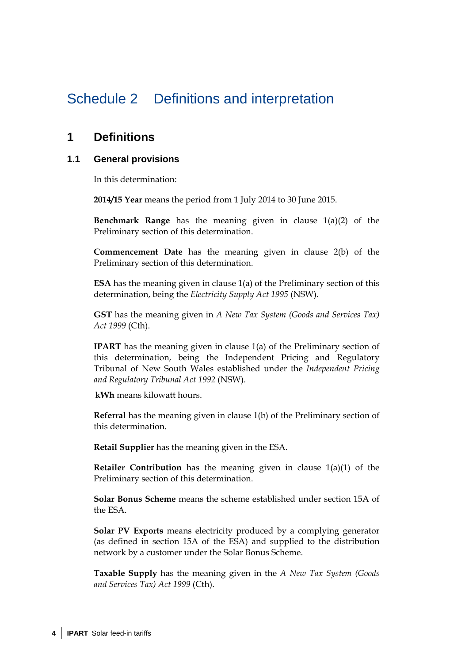# Schedule 2 Definitions and interpretation

#### **1 Definitions**

#### **1.1 General provisions**

In this determination:

**2014/15 Year** means the period from 1 July 2014 to 30 June 2015.

**Benchmark Range** has the meaning given in clause 1(a)(2) of the Preliminary section of this determination.

**Commencement Date** has the meaning given in clause 2(b) of the Preliminary section of this determination.

**ESA** has the meaning given in clause 1(a) of the Preliminary section of this determination, being the *Electricity Supply Act 1995* (NSW).

**GST** has the meaning given in *A New Tax System (Goods and Services Tax) Act 1999* (Cth).

**IPART** has the meaning given in clause 1(a) of the Preliminary section of this determination, being the Independent Pricing and Regulatory Tribunal of New South Wales established under the *Independent Pricing and Regulatory Tribunal Act 1992* (NSW).

**kWh** means kilowatt hours.

**Referral** has the meaning given in clause 1(b) of the Preliminary section of this determination.

**Retail Supplier** has the meaning given in the ESA.

**Retailer Contribution** has the meaning given in clause 1(a)(1) of the Preliminary section of this determination.

**Solar Bonus Scheme** means the scheme established under section 15A of the ESA.

**Solar PV Exports** means electricity produced by a complying generator (as defined in section 15A of the ESA) and supplied to the distribution network by a customer under the Solar Bonus Scheme.

**Taxable Supply** has the meaning given in the *A New Tax System (Goods and Services Tax) Act 1999* (Cth).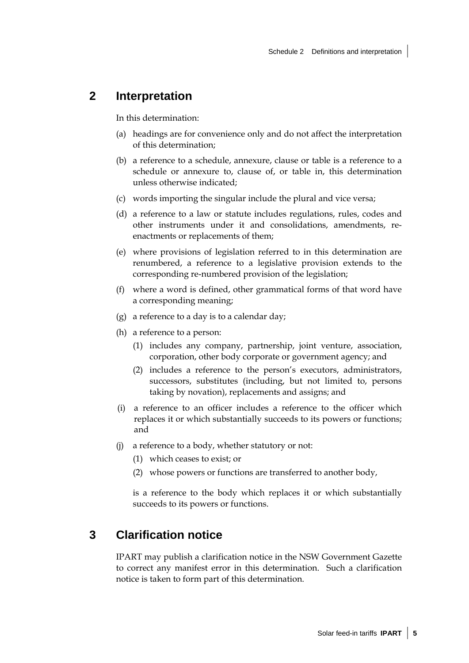#### **2 Interpretation**

In this determination:

- (a) headings are for convenience only and do not affect the interpretation of this determination;
- (b) a reference to a schedule, annexure, clause or table is a reference to a schedule or annexure to, clause of, or table in, this determination unless otherwise indicated;
- (c) words importing the singular include the plural and vice versa;
- (d) a reference to a law or statute includes regulations, rules, codes and other instruments under it and consolidations, amendments, reenactments or replacements of them;
- (e) where provisions of legislation referred to in this determination are renumbered, a reference to a legislative provision extends to the corresponding re-numbered provision of the legislation;
- (f) where a word is defined, other grammatical forms of that word have a corresponding meaning;
- (g) a reference to a day is to a calendar day;
- (h) a reference to a person:
	- (1) includes any company, partnership, joint venture, association, corporation, other body corporate or government agency; and
	- (2) includes a reference to the person's executors, administrators, successors, substitutes (including, but not limited to, persons taking by novation), replacements and assigns; and
- (i) a reference to an officer includes a reference to the officer which replaces it or which substantially succeeds to its powers or functions; and
- (j) a reference to a body, whether statutory or not:
	- (1) which ceases to exist; or
	- (2) whose powers or functions are transferred to another body,

is a reference to the body which replaces it or which substantially succeeds to its powers or functions.

#### **3 Clarification notice**

IPART may publish a clarification notice in the NSW Government Gazette to correct any manifest error in this determination. Such a clarification notice is taken to form part of this determination.